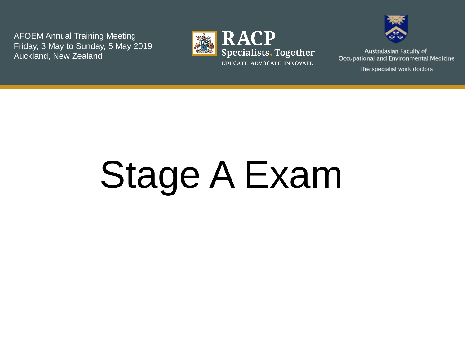AFOEM Annual Training Meeting Friday, 3 May to Sunday, 5 May 2019 Auckland, New Zealand





Australasian Faculty of Occupational and Environmental Medicine

The specialist work doctors

# Stage A Exam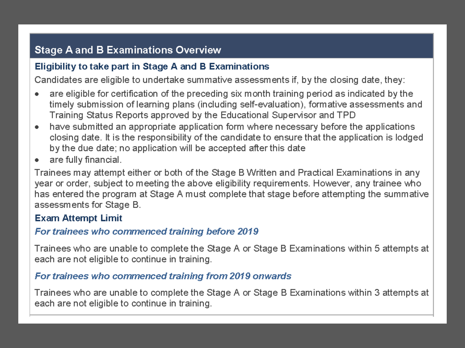# **Stage A and B Examinations Overview**

# Eligibility to take part in Stage A and B Examinations

Candidates are eligible to undertake summative assessments if, by the closing date, they:

- are eligible for certification of the preceding six month training period as indicated by the timely submission of learning plans (including self-evaluation), formative assessments and Training Status Reports approved by the Educational Supervisor and TPD
- have submitted an appropriate application form where necessary before the applications closing date. It is the responsibility of the candidate to ensure that the application is lodged by the due date; no application will be accepted after this date
- are fully financial. ۰

Trainees may attempt either or both of the Stage B Written and Practical Examinations in any year or order, subject to meeting the above eligibility requirements. However, any trainee who has entered the program at Stage A must complete that stage before attempting the summative assessments for Stage B.

# **Exam Attempt Limit**

# For trainees who commenced training before 2019

Trainees who are unable to complete the Stage A or Stage B Examinations within 5 attempts at each are not eligible to continue in training.

# For trainees who commenced training from 2019 onwards

Trainees who are unable to complete the Stage A or Stage B Examinations within 3 attempts at each are not eligible to continue in training.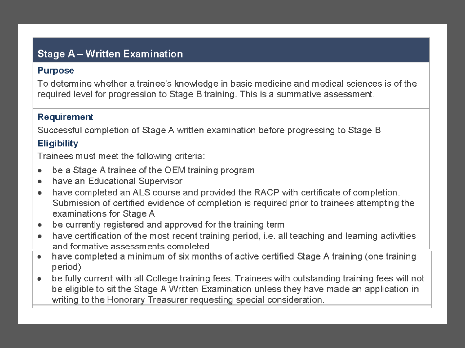# **Stage A - Written Examination**

### **Purpose**

To determine whether a trainee's knowledge in basic medicine and medical sciences is of the required level for progression to Stage B training. This is a summative assessment.

# Requirement

Successful completion of Stage A written examination before progressing to Stage B

# **Eligibility**

Trainees must meet the following criteria:

- be a Stage A trainee of the OEM training program  $\bullet$
- have an Educational Supervisor ٠
- have completed an ALS course and provided the RACP with certificate of completion. ٠ Submission of certified evidence of completion is required prior to trainees attempting the examinations for Stage A
- be currently registered and approved for the training term ۰
- have certification of the most recent training period, i.e. all teaching and learning activities  $\bullet$ and formative assessments completed
- have completed a minimum of six months of active certified Stage A training (one training ۰ period)
- be fully current with all College training fees. Trainees with outstanding training fees will not ۰ be eligible to sit the Stage A Written Examination unless they have made an application in writing to the Honorary Treasurer requesting special consideration.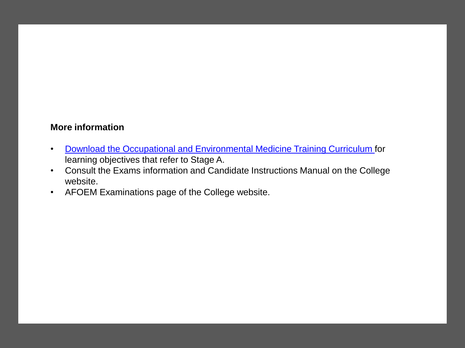### **More information**

- [Download the Occupational and Environmental Medicine Training Curriculum](https://www.racp.edu.au/docs/default-source/default-document-library/occupational-environmental-medicine-advanced-training-curriculum.pdf?sfvrsn=e23c2c1a_10) for learning objectives that refer to Stage A.
- Consult the Exams information and Candidate Instructions Manual on the College website.
- AFOEM Examinations page of the College website.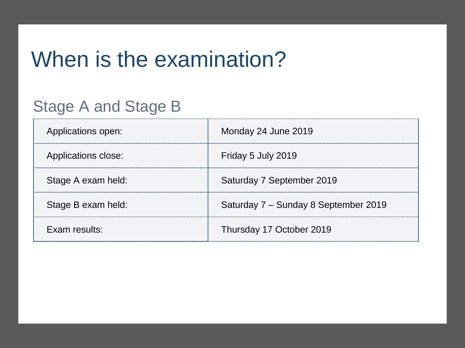# When is the examination?

# Stage A and Stage B

| Applications open:  | Monday 24 June 2019                  |
|---------------------|--------------------------------------|
| Applications close: | Friday 5 July 2019                   |
| Stage A exam held:  | Saturday 7 September 2019            |
| Stage B exam held:  | Saturday 7 - Sunday 8 September 2019 |
| Exam results:       | Thursday 17 October 2019             |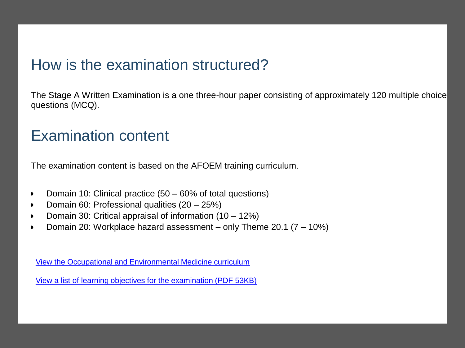# How is the examination structured?

The Stage A Written Examination is a one three-hour paper consisting of approximately 120 multiple choice questions (MCQ).

# Examination content

The examination content is based on the AFOEM training curriculum.

- Domain 10: Clinical practice (50 60% of total questions)
- Domain 60: Professional qualities (20 25%)
- Domain 30: Critical appraisal of information (10 12%)
- Domain 20: Workplace hazard assessment only Theme 20.1 (7 10%)

[View the Occupational and Environmental Medicine curriculum](https://www.racp.edu.au/trainees/assessments/exams/43d54caf-bbb2-61c2-b08b-ff00001c3177)

[View a list of learning objectives for the examination \(PDF](https://www.racp.edu.au/docs/default-source/default-document-library/view-a-list-of-learning-objectives-for-the-examination.pdf?sfvrsn=e6222f1a_6) 53KB) View a list of learning objectives for the examination (PDF 53KB)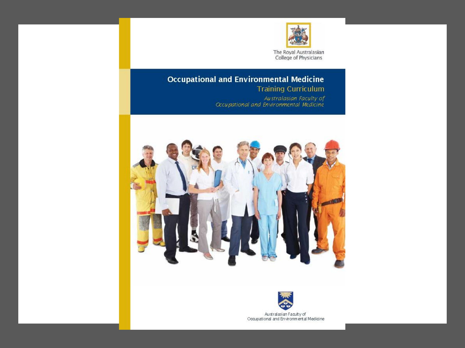

# **Occupational and Environmental Medicine Training Curriculum** Australasian Faculty of<br>Occupational and Environmental Medicine





Australasian Faculty of<br>Occupational and Environmental Medicine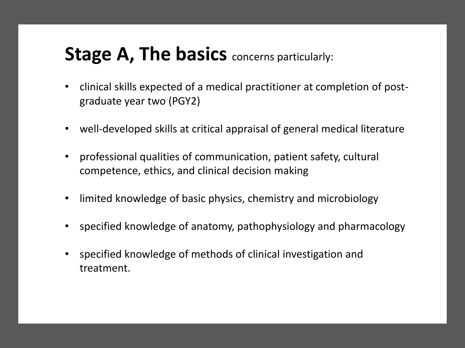# **Stage A, The basics** concerns particularly:

- clinical skills expected of a medical practitioner at completion of postgraduate year two (PGY2)
- well-developed skills at critical appraisal of general medical literature
- professional qualities of communication, patient safety, cultural competence, ethics, and clinical decision making
- limited knowledge of basic physics, chemistry and microbiology
- specified knowledge of anatomy, pathophysiology and pharmacology
- specified knowledge of methods of clinical investigation and treatment.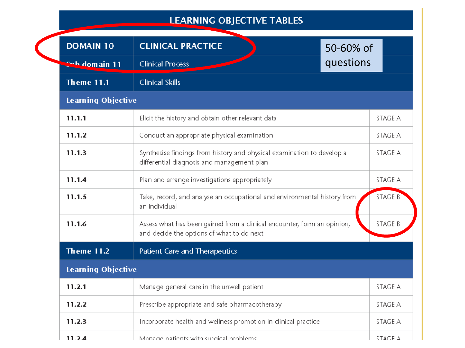# **LEARNING OBJECTIVE TABLES**

| <b>DOMAIN 10</b>          | <b>CLINICAL PRACTICE</b><br>50-60% of                                                                                |         |  |  |  |
|---------------------------|----------------------------------------------------------------------------------------------------------------------|---------|--|--|--|
| Sub-domain 11             | questions<br><b>Clinical Process</b>                                                                                 |         |  |  |  |
| <b>Theme 11.1</b>         | <b>Clinical Skills</b>                                                                                               |         |  |  |  |
| <b>Learning Objective</b> |                                                                                                                      |         |  |  |  |
| 11.1.1                    | Elicit the history and obtain other relevant data                                                                    | STAGE A |  |  |  |
| 11.1.2                    | Conduct an appropriate physical examination                                                                          | STAGE A |  |  |  |
| 11.1.3                    | Synthesise findings from history and physical examination to develop a<br>differential diagnosis and management plan | STAGE A |  |  |  |
| 11.1.4                    | Plan and arrange investigations appropriately                                                                        | STAGE A |  |  |  |
| 11.1.5                    | Take, record, and analyse an occupational and environmental history from<br>an individual                            | STAGE B |  |  |  |
| 11.1.6                    | Assess what has been gained from a clinical encounter, form an opinion,<br>and decide the options of what to do next |         |  |  |  |
| <b>Theme 11.2</b>         | Patient Care and Therapeutics                                                                                        |         |  |  |  |
| <b>Learning Objective</b> |                                                                                                                      |         |  |  |  |
| 11.2.1                    | Manage general care in the unwell patient                                                                            |         |  |  |  |
| 11.2.2                    | Prescribe appropriate and safe pharmacotherapy                                                                       | STAGE A |  |  |  |
| 11.2.3                    | Incorporate health and wellness promotion in clinical practice                                                       |         |  |  |  |
| 11.2.4                    | Manage patients with surgical problems                                                                               |         |  |  |  |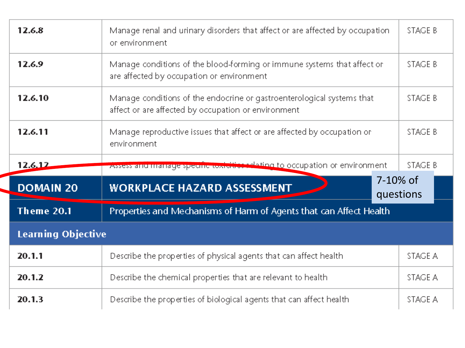| 12.6.8                    | Manage renal and urinary disorders that affect or are affected by occupation.<br>or environment                               |                |  |  |  |
|---------------------------|-------------------------------------------------------------------------------------------------------------------------------|----------------|--|--|--|
| 12.6.9                    | Manage conditions of the blood-forming or immune systems that affect or<br>are affected by occupation or environment          | STAGE B        |  |  |  |
| 12.6.10                   | Manage conditions of the endocrine or gastroenterological systems that<br>affect or are affected by occupation or environment | STAGE B        |  |  |  |
| 12.6.11                   | Manage reproductive issues that affect or are affected by occupation or<br>environment                                        | STAGE B        |  |  |  |
| 12.6.12                   | ressess arrennanage specific textels and that to occupation or environment                                                    | <b>STAGE B</b> |  |  |  |
| <b>DOMAIN 20</b>          | 7-10% of<br><b>WORKPLACE HAZARD ASSESSMENT</b><br>questions                                                                   |                |  |  |  |
| <b>Theme 20.1</b>         | Properties and Mechanisms of Harm of Agents that can Affect Health                                                            |                |  |  |  |
| <b>Learning Objective</b> |                                                                                                                               |                |  |  |  |
| 20.1.1                    | Describe the properties of physical agents that can affect health                                                             | STAGE A        |  |  |  |
| 20.1.2                    | Describe the chemical properties that are relevant to health                                                                  | STAGE A        |  |  |  |
| 20.1.3                    | Describe the properties of biological agents that can affect health                                                           | STAGE A        |  |  |  |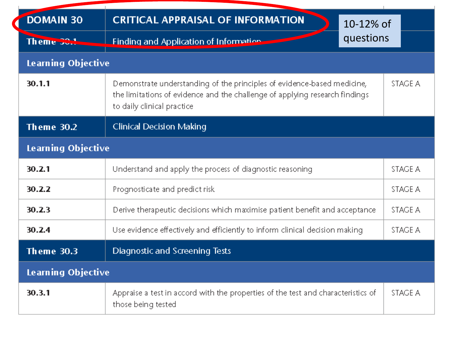| <b>DOMAIN 30</b>          | <b>CRITICAL APPRAISAL OF INFORMATION</b>                                                                                                                                             |                |  |  |  |
|---------------------------|--------------------------------------------------------------------------------------------------------------------------------------------------------------------------------------|----------------|--|--|--|
|                           | 10-12% of                                                                                                                                                                            |                |  |  |  |
| Theme $33.$               | questions<br><b>Finding and Application of Information</b>                                                                                                                           |                |  |  |  |
| <b>Learning Objective</b> |                                                                                                                                                                                      |                |  |  |  |
| 30.1.1                    | Demonstrate understanding of the principles of evidence-based medicine,<br>the limitations of evidence and the challenge of applying research findings<br>to daily clinical practice | <b>STAGE A</b> |  |  |  |
| <b>Theme 30.2</b>         | <b>Clinical Decision Making</b>                                                                                                                                                      |                |  |  |  |
| <b>Learning Objective</b> |                                                                                                                                                                                      |                |  |  |  |
| 30.2.1                    | Understand and apply the process of diagnostic reasoning                                                                                                                             | STAGE A        |  |  |  |
| 30.2.2                    | Prognosticate and predict risk                                                                                                                                                       | STAGE A        |  |  |  |
| 30.2.3                    | Derive therapeutic decisions which maximise patient benefit and acceptance                                                                                                           | <b>STAGE A</b> |  |  |  |
| 30.2.4                    | Use evidence effectively and efficiently to inform clinical decision making                                                                                                          | STAGE A        |  |  |  |
| <b>Theme 30.3</b>         | Diagnostic and Screening Tests                                                                                                                                                       |                |  |  |  |
| <b>Learning Objective</b> |                                                                                                                                                                                      |                |  |  |  |
| 30.3.1                    | Appraise a test in accord with the properties of the test and characteristics of<br>those being tested                                                                               |                |  |  |  |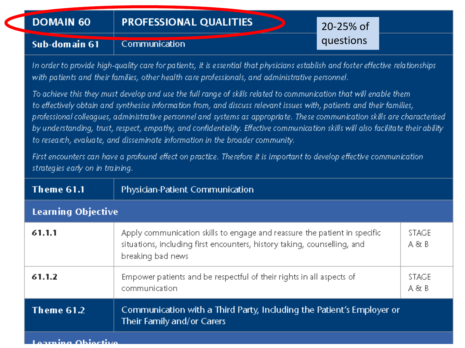# **DOMAIN 60**

# **PROFESSIONAL QUALITIES**

20-25% of questions

#### Sub-domain 61 Communication

In order to provide high-quality care for patients, it is essential that physicians establish and foster effective relationships with patients and their families, other health care professionals, and administrative personnel.

To achieve this they must develop and use the full range of skills related to communication that will enable them to effectively obtain and synthesise information from, and discuss relevant issues with, patients and their families, professional colleagues, administrative personnel and systems as appropriate. These communication skills are characterised by understanding, trust, respect, empathy, and confidentiality. Effective communication skills will also facilitate their ability to research, evaluate, and disseminate information in the broader community.

First encounters can have a profound effect on practice. Therefore it is important to develop effective communication strategies early on in training.

| Theme 61.1                                                                                                               | <b>Physician-Patient Communication</b>                                                                                                                                     |                          |  |  |  |
|--------------------------------------------------------------------------------------------------------------------------|----------------------------------------------------------------------------------------------------------------------------------------------------------------------------|--------------------------|--|--|--|
| <b>Learning Objective</b>                                                                                                |                                                                                                                                                                            |                          |  |  |  |
| 61.1.1                                                                                                                   | Apply communication skills to engage and reassure the patient in specific<br>situations, including first encounters, history taking, counselling, and<br>breaking bad news | <b>STAGE</b><br>$A \& B$ |  |  |  |
| 61.1.2                                                                                                                   | Empower patients and be respectful of their rights in all aspects of<br>communication                                                                                      | <b>STAGE</b><br>$A \& B$ |  |  |  |
| Communication with a Third Party, Including the Patient's Employer or<br><b>Theme 61.2</b><br>Their Family and/or Carers |                                                                                                                                                                            |                          |  |  |  |
| Loaming Abioctivo                                                                                                        |                                                                                                                                                                            |                          |  |  |  |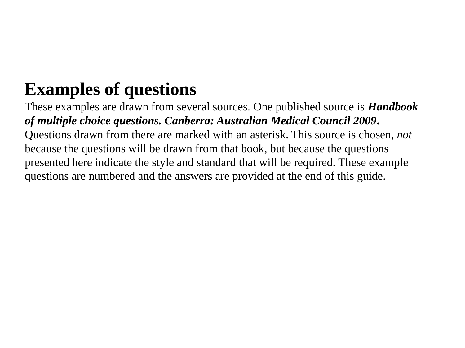# **Examples of questions**

These examples are drawn from several sources. One published source is *Handbook of multiple choice questions. Canberra: Australian Medical Council 2009***.**  Questions drawn from there are marked with an asterisk. This source is chosen, *not*  because the questions will be drawn from that book, but because the questions presented here indicate the style and standard that will be required. These example questions are numbered and the answers are provided at the end of this guide.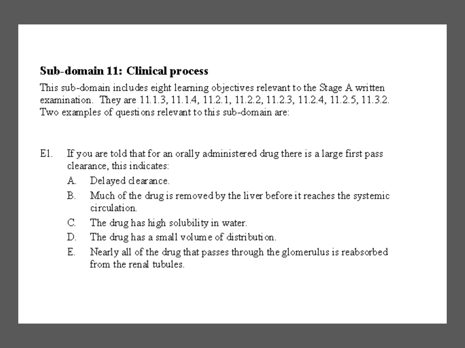# **Sub-domain 11: Clinical process**

This sub-domain includes eight learning objectives relevant to the Stage A written examination. They are 11.1.3, 11.1.4, 11.2.1, 11.2.2, 11.2.3, 11.2.4, 11.2.5, 11.3.2. Two examples of questions relevant to this sub-domain are:

- E1. If you are told that for an orally administered drug there is a large first pass clearance, this indicates:
	- Delayed clearance. А.
	- Much of the drug is removed by the liver before it reaches the systemic В. circulation.
	- C. The drug has high solubility in water.
	- The drug has a small volume of distribution. D.
	- $E_{\perp}$ Nearly all of the drug that passes through the glomerulus is reabsorbed from the renal tubules.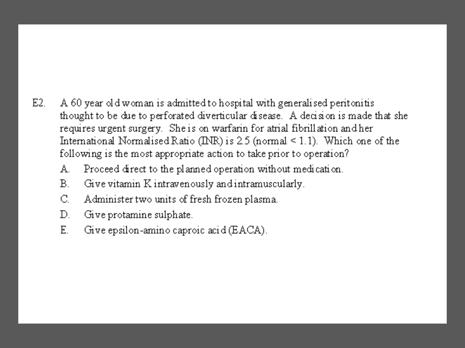- $E2$ A 60 year old woman is admitted to hospital with generalised peritonitis thought to be due to perforated diverticular disease. A decision is made that she requires urgent surgery. She is on warfarin for a trial fibrillation and her International Normalised Ratio (INR) is 2.5 (normal  $\leq$  1.1). Which one of the following is the most appropriate action to take prior to operation?
	- Proceed direct to the planned operation without medication.  $\mathbf{A}_1$
	- $\mathbf{B}$ Give vitamin K intravenously and intramuscularly.
	- $\mathbb{C}^{\mathbb{N}}$ Administer two units of fresh frozen plasma.
	- $\mathbb{D}_+$ Give protamine sulphate.
	- Give epsilon-amino caproic acid (EACA).  $E_{\perp}$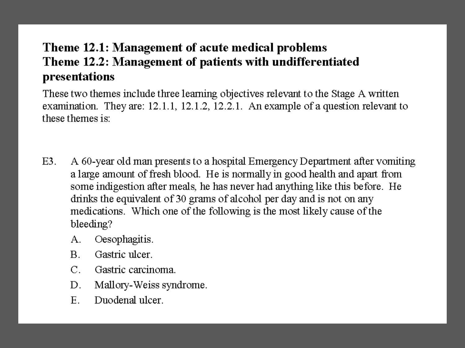# Theme 12.1: Management of acute medical problems Theme 12.2: Management of patients with undifferentiated presentations

These two themes include three learning objectives relevant to the Stage A written examination. They are:  $12.1.1$ ,  $12.1.2$ ,  $12.2.1$ . An example of a question relevant to these themes is:

- $E3.$ A 60-year old man presents to a hospital Emergency Department after vomiting a large amount of fresh blood. He is normally in good health and apart from some indigestion after meals, he has never had anything like this before. He drinks the equivalent of 30 grams of alcohol per day and is not on any medications. Which one of the following is the most likely cause of the bleeding?
	- Oesophagitis. А.
	- Gastric ulcer.  $\mathbf{B}$ .
	- $C_{-}$ Gastric carcinoma.
	- Mallory-Weiss syndrome. D.
	- Duodenal ulcer.  $E_{\rm{L}}$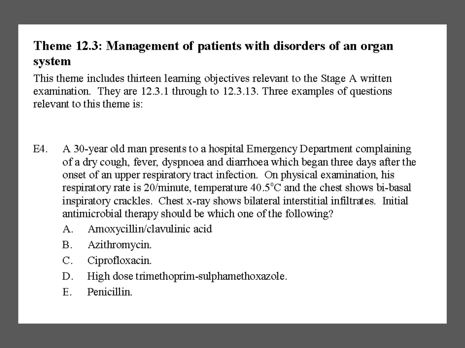# Theme 12.3: Management of patients with disorders of an organ system

This theme includes thirteen learning objectives relevant to the Stage A written examination. They are 12.3.1 through to 12.3.13. Three examples of questions relevant to this theme is:

- E4. A 30-year old man presents to a hospital Emergency Department complaining of a dry cough, fever, dyspnoea and diarrhoea which began three days after the onset of an upper respiratory tract infection. On physical examination, his respiratory rate is 20/minute, temperature  $40.5^{\circ}$ C and the chest shows bi-basal inspiratory crackles. Chest x-ray shows bilateral interstitial infiltrates. Initial antimicrobial therapy should be which one of the following?
	- Amoxycillin/clavulinic acid А.
	- Azithromycin. **B.**
	- $C_{\cdot}$ Ciprofloxacin.
	- High dose trimethoprim-sulphamethoxazole. D.
	- Penicillin.  $E_{\perp}$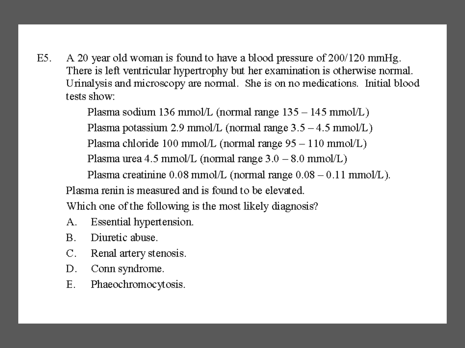A 20 year old woman is found to have a blood pressure of 200/120 mmHg.  $E5.$ There is left ventricular hypertrophy but her examination is otherwise normal. Urinalysis and microscopy are normal. She is on no medications. Initial blood tests show:

Plasma sodium 136 mmol/L (normal range  $135 - 145$  mmol/L)

Plasma potassium 2.9 mmol/L (normal range  $3.5 - 4.5$  mmol/L)

Plasma chloride 100 mmol/L (normal range  $95 - 110$  mmol/L)

Plasma urea 4.5 mmol/L (normal range  $3.0 - 8.0$  mmol/L)

Plasma creatinine  $0.08$  mmol/L (normal range  $0.08 - 0.11$  mmol/L).

Plasma renin is measured and is found to be elevated.

Which one of the following is the most likely diagnosis?

- Essential hypertension.  $A_{-}$
- Diuretic abuse.  $\mathbf{B}$ .
- $C_{\cdot}$ Renal artery stenosis.
- Conn syndrome.  $D_{\perp}$
- $E_{\perp}$ Phaeochromocytosis.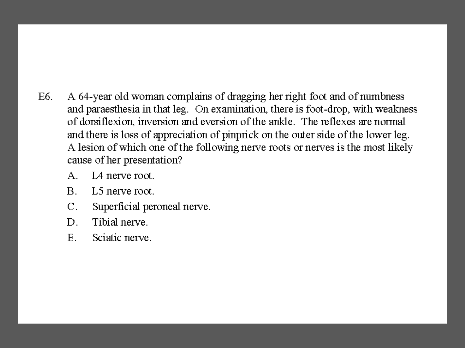- A 64-year old woman complains of dragging her right foot and of numbness  $E6$ and paraesthesia in that leg. On examination, there is foot-drop, with weakness of dorsiflexion, inversion and eversion of the ankle. The reflexes are normal and there is loss of appreciation of pinprick on the outer side of the lower leg. A lesion of which one of the following nerve roots or nerves is the most likely cause of her presentation?
	- $A.$  L4 nerve root.
	- $\mathbf{B}$ . L5 nerve root.
	- $C_{-}$ Superficial peroneal nerve.
	- Tibial nerve. D.
	- $E_{\perp}$ Sciatic nerve.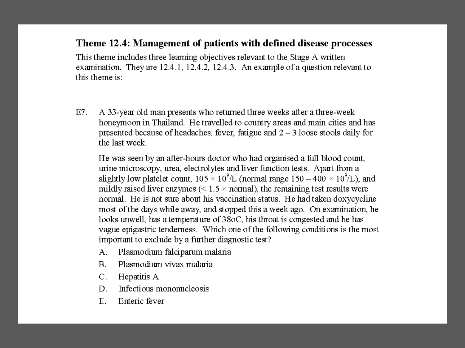### Theme 12.4: Management of patients with defined disease processes

This theme includes three learning objectives relevant to the Stage A written examination. They are 12.4.1, 12.4.2, 12.4.3. An example of a question relevant to this theme is:

A 33-year old man presents who returned three weeks after a three-week  $E7.$ honeymoon in Thailand. He travelled to country areas and main cities and has presented because of headaches, fever, fatigue and  $2 - 3$  loose stools daily for the last week.

He was seen by an after-hours doctor who had organised a full blood count, urine microscopy, urea, electrolytes and liver function tests. Apart from a slightly low platelet count,  $105 \times 10^9$ /L (normal range  $150 - 400 \times 10^9$ /L), and mildly raised liver enzymes ( $\leq 1.5 \times$  normal), the remaining test results were normal. He is not sure about his vaccination status. He had taken doxycycline most of the days while away, and stopped this a week ago. On examination, he looks unwell, has a temperature of 38oC, his throat is congested and he has vague epigastric tenderness. Which one of the following conditions is the most important to exclude by a further diagnostic test?

- Plasmodium falciparum malaria А.
- Plasmodium vivax malaria **B.**
- $\rm C.$ Hepatitis A
- Infectious mononucleosis D.
- Enteric fever  $E_{\cdot}$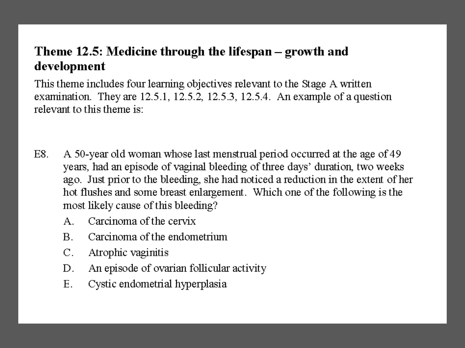# Theme 12.5: Medicine through the lifespan – growth and development

This theme includes four learning objectives relevant to the Stage A written examination. They are  $12.5.1$ ,  $12.5.2$ ,  $12.5.3$ ,  $12.5.4$ . An example of a question relevant to this theme is:

- E8. A 50-year old woman whose last menstrual period occurred at the age of 49 years, had an episode of vaginal bleeding of three days' duration, two weeks ago. Just prior to the bleeding, she had noticed a reduction in the extent of her hot flushes and some breast enlargement. Which one of the following is the most likely cause of this bleeding?
	- Carcinoma of the cervix  $A_{\cdot}$
	- $\mathbf{B}$ Carcinoma of the endometrium
	- $C_{\cdot}$ Atrophic vaginitis
	- An episode of ovarian follicular activity D.
	- $E_{\cdot}$ Cystic endometrial hyperplasia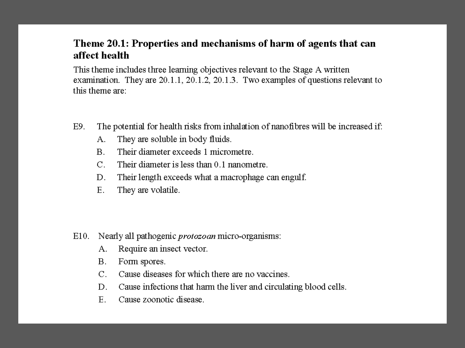# Theme 20.1: Properties and mechanisms of harm of agents that can affect health

This theme includes three learning objectives relevant to the Stage A written examination. They are 20.1.1, 20.1.2, 20.1.3. Two examples of questions relevant to this theme are:

- The potential for health risks from inhalation of nanofibres will be increased if: E9.
	- They are soluble in body fluids. A.
	- Their diameter exceeds 1 micrometre.  $\mathbf{B}$ .
	- Their diameter is less than 0.1 nanometre.  $C_{\cdot}$
	- Their length exceeds what a macrophage can engulf. D.
	- $E.$ They are volatile.

- $E10.$ Nearly all pathogenic *protozoan* micro-organisms:
	- Require an insect vector. А.
	- $\mathbf{B}$ . Form spores.
	- $C_{\cdot}$ Cause diseases for which there are no vaccines.
	- D. Cause infections that harm the liver and circulating blood cells.
	- $E.$ Cause zoonotic disease.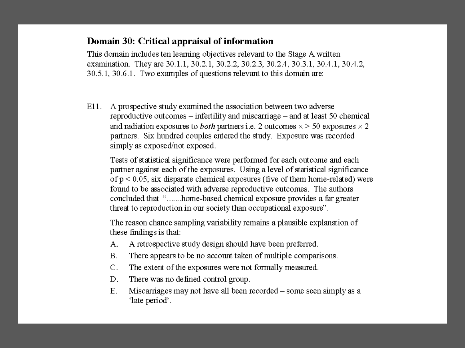### Domain 30: Critical appraisal of information

This domain includes ten learning objectives relevant to the Stage A written examination. They are 30.1.1, 30.2.1, 30.2.2, 30.2.3, 30.2.4, 30.3.1, 30.4.1, 30.4.2, 30.5.1, 30.6.1. Two examples of questions relevant to this domain are:

E11. A prospective study examined the association between two adverse reproductive outcomes – infertility and miscarriage – and at least 50 chemical and radiation exposures to *both* partners i.e. 2 outcomes  $\times$  > 50 exposures  $\times$  2 partners. Six hundred couples entered the study. Exposure was recorded simply as exposed/not exposed.

Tests of statistical significance were performed for each outcome and each partner against each of the exposures. Using a level of statistical significance of  $p < 0.05$ , six disparate chemical exposures (five of them home-related) were found to be associated with adverse reproductive outcomes. The authors concluded that ".......home-based chemical exposure provides a far greater threat to reproduction in our society than occupational exposure".

The reason chance sampling variability remains a plausible explanation of these findings is that:

- A retrospective study design should have been preferred. А.
- There appears to be no account taken of multiple comparisons.  $B<sub>1</sub>$
- $C_{\cdot}$ The extent of the exposures were not formally measured.
- There was no defined control group. D.
- $E.$ Miscarriages may not have all been recorded – some seen simply as a 'late period'.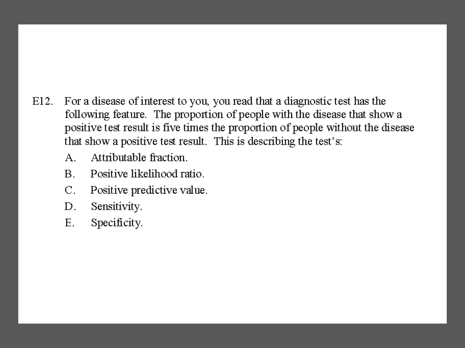- For a disease of interest to you, you read that a diagnostic test has the E12. following feature. The proportion of people with the disease that show a positive test result is five times the proportion of people without the disease that show a positive test result. This is describing the test's:
	- Attributable fraction.  $A_{\cdot}$
	- Positive likelihood ratio.  $\mathbf{B}$ .
	- Positive predictive value.  $C_{-}$
	- D. Sensitivity.
	- $E_{\cdot}$ Specificity.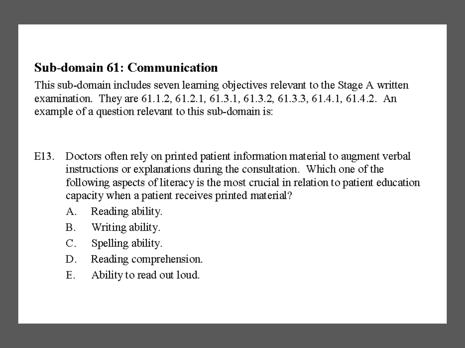# **Sub-domain 61: Communication**

This sub-domain includes seven learning objectives relevant to the Stage A written examination. They are 61.1.2, 61.2.1, 61.3.1, 61.3.2, 61.3.3, 61.4.1, 61.4.2. An example of a question relevant to this sub-domain is:

- Doctors often rely on printed patient information material to augment verbal  $E13.$ instructions or explanations during the consultation. Which one of the following aspects of literacy is the most crucial in relation to patient education capacity when a patient receives printed material?
	- Reading ability. A.
	- $B_{\cdot}$ Writing ability.
	- $C_{-}$ Spelling ability.
	- D. Reading comprehension.
	- $E_{\rm{H}}$ Ability to read out loud.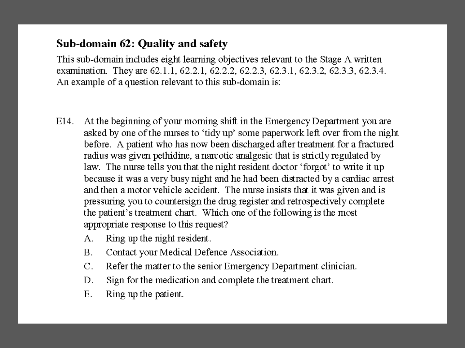# Sub-domain 62: Quality and safety

This sub-domain includes eight learning objectives relevant to the Stage A written examination. They are 62.1.1, 62.2.1, 62.2.2, 62.2.3, 62.3.1, 62.3.2, 62.3.3, 62.3.4. An example of a question relevant to this sub-domain is:

- E14. At the beginning of your morning shift in the Emergency Department you are asked by one of the nurses to 'tidy up' some paperwork left over from the night before. A patient who has now been discharged after treatment for a fractured radius was given pethidine, a narcotic analgesic that is strictly regulated by law. The nurse tells you that the night resident doctor 'forgot' to write it up because it was a very busy night and he had been distracted by a cardiac arrest and then a motor vehicle accident. The nurse insists that it was given and is pressuring you to countersign the drug register and retrospectively complete the patient's treatment chart. Which one of the following is the most appropriate response to this request?
	- Ring up the night resident. А.
	- **B.** Contact your Medical Defence Association.
	- $\mathcal{C}$ . Refer the matter to the senior Emergency Department clinician.
	- Sign for the medication and complete the treatment chart. D.
	- $E.$ Ring up the patient.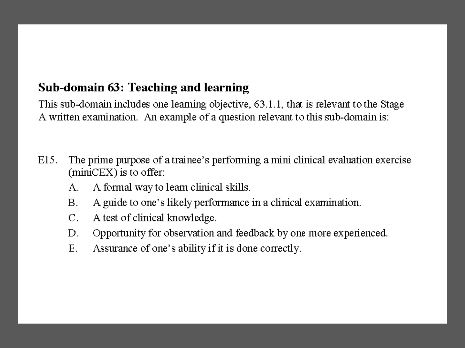# Sub-domain 63: Teaching and learning

This sub-domain includes one learning objective, 63.1.1, that is relevant to the Stage A written examination. An example of a question relevant to this sub-domain is:

- $E15.$ The prime purpose of a trainee's performing a mini clinical evaluation exercise (miniCEX) is to offer:
	- A formal way to learn clinical skills. Α.
	- **B.** A guide to one's likely performance in a clinical examination.
	- $C_{\cdot}$ A test of clinical knowledge.
	- Opportunity for observation and feedback by one more experienced. D.
	- Assurance of one's ability if it is done correctly.  $E_{\perp}$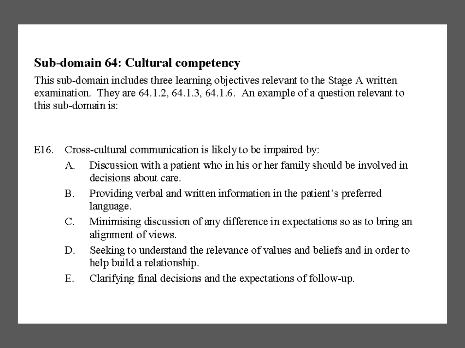# Sub-domain 64: Cultural competency

This sub-domain includes three learning objectives relevant to the Stage A written examination. They are  $64.1.2$ ,  $64.1.3$ ,  $64.1.6$ . An example of a question relevant to this sub-domain is:

 $E16.$ Cross-cultural communication is likely to be impaired by:

- Discussion with a patient who in his or her family should be involved in А. decisions about care.
- Providing verbal and written information in the patient's preferred **B.** language.
- $C_{\cdot}$ Minimising discussion of any difference in expectations so as to bring an alignment of views.
- D. Seeking to understand the relevance of values and beliefs and in order to help build a relationship.
- $E.$ Clarifying final decisions and the expectations of follow-up.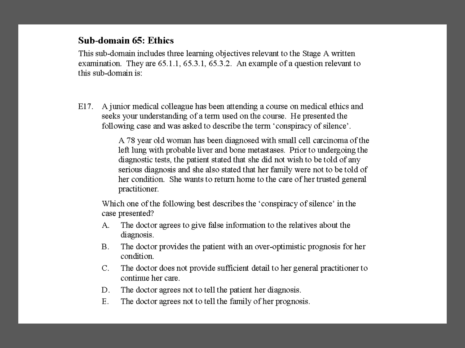### **Sub-domain 65: Ethics**

This sub-domain includes three learning objectives relevant to the Stage A written examination. They are 65.1.1, 65.3.1, 65.3.2. An example of a question relevant to this sub-domain is:

E17. A junior medical colleague has been attending a course on medical ethics and seeks your understanding of a term used on the course. He presented the following case and was asked to describe the term 'conspiracy of silence'.

> A 78 year old woman has been diagnosed with small cell carcinoma of the left lung with probable liver and bone metastases. Prior to undergoing the diagnostic tests, the patient stated that she did not wish to be told of any serious diagnosis and she also stated that her family were not to be told of her condition. She wants to return home to the care of her trusted general practitioner.

Which one of the following best describes the 'conspiracy of silence' in the case presented?

- The doctor agrees to give false information to the relatives about the А. diagnosis.
- **B.** The doctor provides the patient with an over-optimistic prognosis for her condition.
- The doctor does not provide sufficient detail to her general practitioner to  $C_{\cdot}$ continue her care.
- The doctor agrees not to tell the patient her diagnosis. D.
- $E.$ The doctor agrees not to tell the family of her prognosis.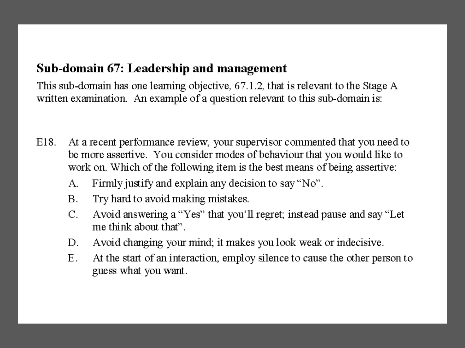# Sub-domain 67: Leadership and management

This sub-domain has one learning objective, 67.1.2, that is relevant to the Stage A written examination. An example of a question relevant to this sub-domain is:

- E18. At a recent performance review, your supervisor commented that you need to be more assertive. You consider modes of behaviour that you would like to work on. Which of the following item is the best means of being assertive:
	- Firmly justify and explain any decision to say "No". А.
	- $B<sub>1</sub>$ Try hard to avoid making mistakes.
	- $C_{\cdot}$ Avoid answering a "Yes" that you'll regret; instead pause and say "Let me think about that".
	- Avoid changing your mind; it makes you look weak or indecisive. D.
	- $E_{\perp}$ At the start of an interaction, employ silence to cause the other person to guess what you want.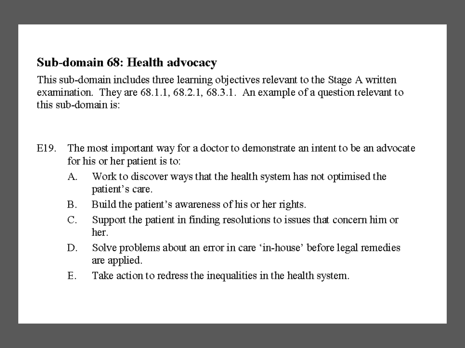# Sub-domain 68: Health advocacy

This sub-domain includes three learning objectives relevant to the Stage A written examination. They are  $68.1.1$ ,  $68.2.1$ ,  $68.3.1$ . An example of a question relevant to this sub-domain is:

- E<sub>19</sub>. The most important way for a doctor to demonstrate an intent to be an advocate for his or her patient is to:
	- Work to discover ways that the health system has not optimised the A. patient's care.
	- Build the patient's awareness of his or her rights.  $\rm{B}$ .
	- $C_{\cdot}$ Support the patient in finding resolutions to issues that concern him or her.
	- Solve problems about an error in care 'in-house' before legal remedies D. are applied.
	- $E_{\perp}$ Take action to redress the inequalities in the health system.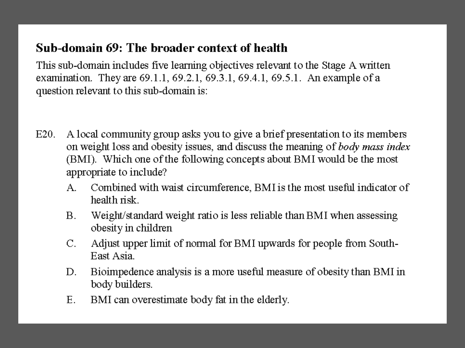# Sub-domain 69: The broader context of health

This sub-domain includes five learning objectives relevant to the Stage A written examination. They are 69.1.1, 69.2.1, 69.3.1, 69.4.1, 69.5.1. An example of a question relevant to this sub-domain is:

- $E20.$ A local community group asks you to give a brief presentation to its members on weight loss and obesity issues, and discuss the meaning of body mass index (BMI). Which one of the following concepts about BMI would be the most appropriate to include?
	- Combined with waist circumference, BMI is the most useful indicator of A. health risk
	- Weight/standard weight ratio is less reliable than BMI when assessing **B.** obesity in children
	- $C_{\cdot}$ Adjust upper limit of normal for BMI upwards for people from South-East Asia.
	- Bioimpedence analysis is a more useful measure of obesity than BMI in D. body builders.
	- $E_{\cdot}$ BMI can overestimate body fat in the elderly.